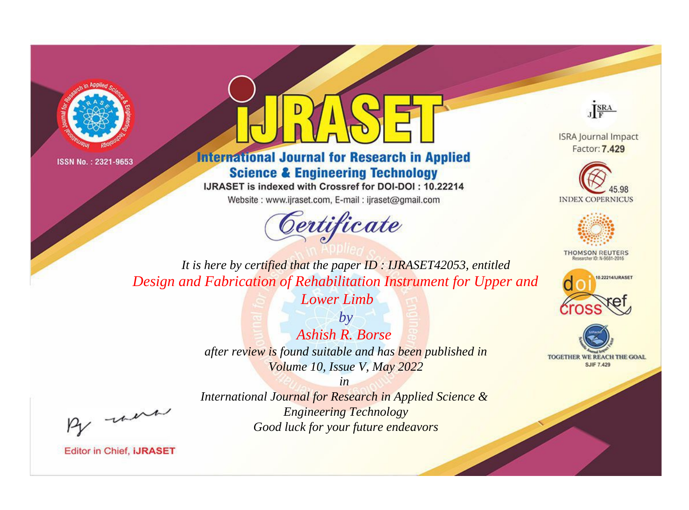



**International Journal for Research in Applied Science & Engineering Technology** 

IJRASET is indexed with Crossref for DOI-DOI: 10.22214

Website: www.ijraset.com, E-mail: ijraset@gmail.com





**ISRA Journal Impact** Factor: 7.429





**THOMSON REUTERS** 



TOGETHER WE REACH THE GOAL **SJIF 7.429** 

*It is here by certified that the paper ID : IJRASET42053, entitled Design and Fabrication of Rehabilitation Instrument for Upper and* 

*Lower Limb*

*by Ashish R. Borse after review is found suitable and has been published in Volume 10, Issue V, May 2022*

, were

*International Journal for Research in Applied Science & Engineering Technology Good luck for your future endeavors*

*in*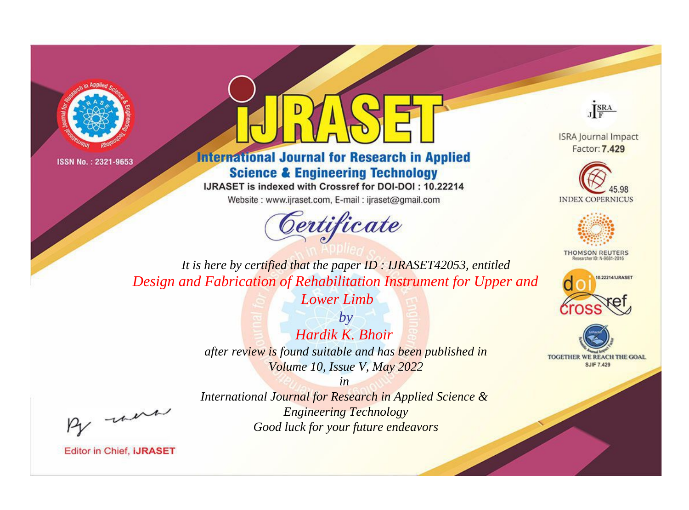



**International Journal for Research in Applied Science & Engineering Technology** 

IJRASET is indexed with Crossref for DOI-DOI: 10.22214

Website: www.ijraset.com, E-mail: ijraset@gmail.com





**ISRA Journal Impact** Factor: 7.429





**THOMSON REUTERS** 



TOGETHER WE REACH THE GOAL **SJIF 7.429** 

*It is here by certified that the paper ID : IJRASET42053, entitled Design and Fabrication of Rehabilitation Instrument for Upper and* 

*Lower Limb*

*by Hardik K. Bhoir after review is found suitable and has been published in Volume 10, Issue V, May 2022*

, were

*International Journal for Research in Applied Science & Engineering Technology Good luck for your future endeavors*

*in*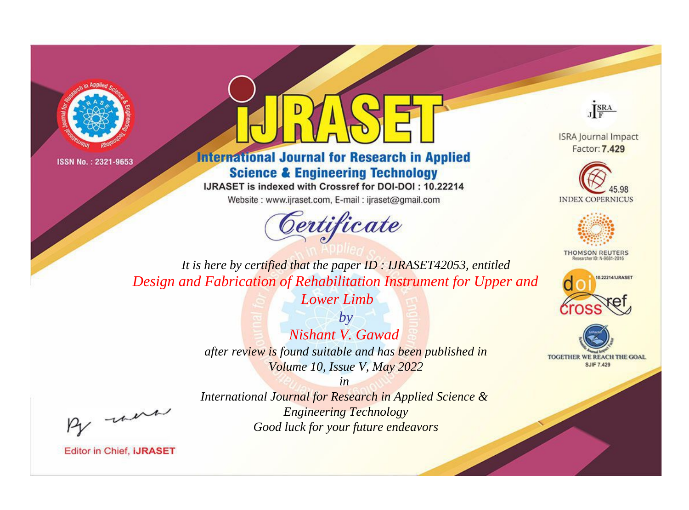



**International Journal for Research in Applied Science & Engineering Technology** 

IJRASET is indexed with Crossref for DOI-DOI: 10.22214

Website: www.ijraset.com, E-mail: ijraset@gmail.com





**ISRA Journal Impact** Factor: 7.429





**THOMSON REUTERS** 



TOGETHER WE REACH THE GOAL **SJIF 7.429** 

*It is here by certified that the paper ID : IJRASET42053, entitled Design and Fabrication of Rehabilitation Instrument for Upper and* 

*Lower Limb*

*by Nishant V. Gawad after review is found suitable and has been published in Volume 10, Issue V, May 2022*

, were

*International Journal for Research in Applied Science & Engineering Technology Good luck for your future endeavors*

*in*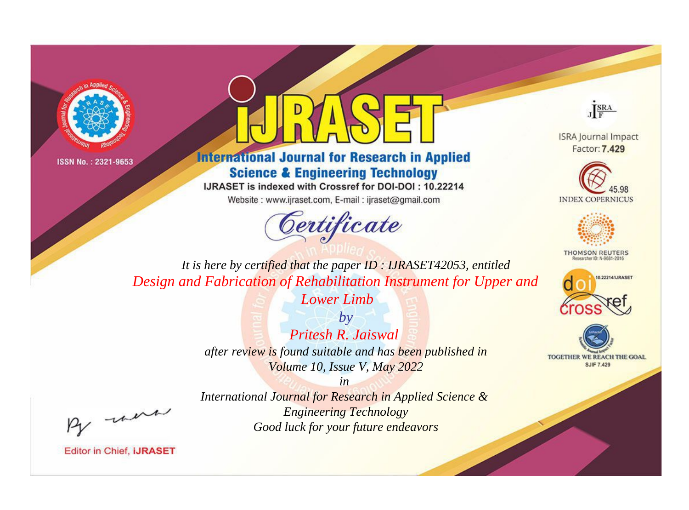



**International Journal for Research in Applied Science & Engineering Technology** 

IJRASET is indexed with Crossref for DOI-DOI: 10.22214

Website: www.ijraset.com, E-mail: ijraset@gmail.com





**ISRA Journal Impact** Factor: 7.429





**THOMSON REUTERS** 



TOGETHER WE REACH THE GOAL **SJIF 7.429** 

*It is here by certified that the paper ID : IJRASET42053, entitled Design and Fabrication of Rehabilitation Instrument for Upper and* 

*Lower Limb*

*by Pritesh R. Jaiswal after review is found suitable and has been published in Volume 10, Issue V, May 2022*

, were

*International Journal for Research in Applied Science & Engineering Technology Good luck for your future endeavors*

*in*